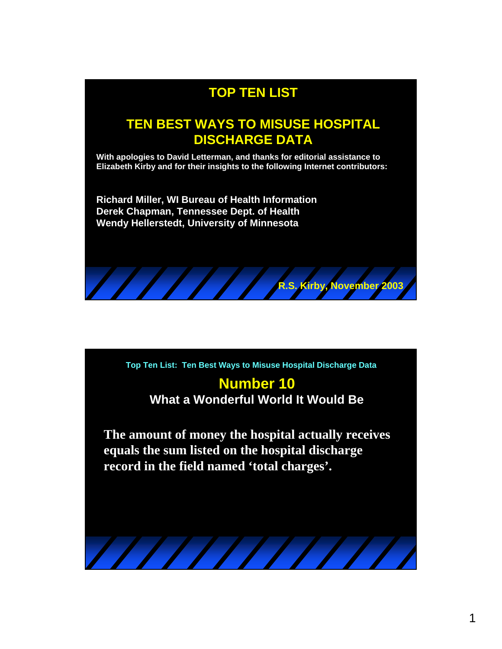

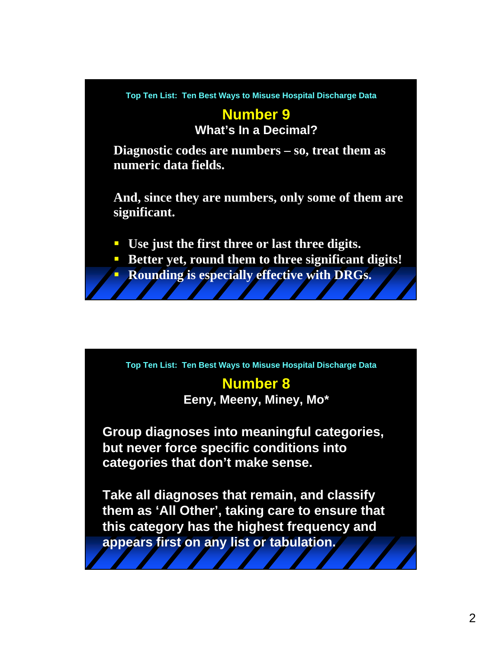

**Top Ten List: Ten Best Ways to Misuse Hospital Discharge Data**

### **Number 8 Eeny, Meeny, Miney, Mo\***

**Group diagnoses into meaningful categories, but never force specific conditions into categories that don't make sense.**

**Take all diagnoses that remain, and classify them as 'All Other', taking care to ensure that this category has the highest frequency and appears first on any list or tabulation.**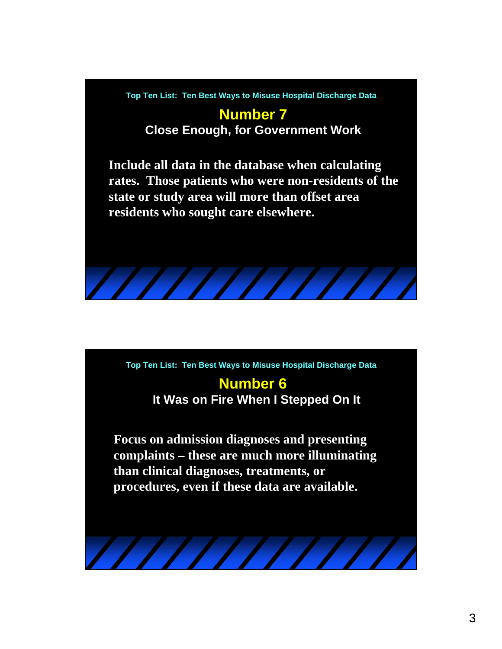**Top Ten List: Ten Best Ways to Misuse Hospital Discharge Data**

### **Number 7 Close Enough, for Government Work**

**Include all data in the database when calculating rates. Those patients who were non-residents of the state or study area will more than offset area residents who sought care elsewhere.**



## **Number 6 It Was on Fire When I Stepped On It**

**Focus on admission diagnoses and presenting complaints – these are much more illuminating than clinical diagnoses, treatments, or procedures, even if these data are available.**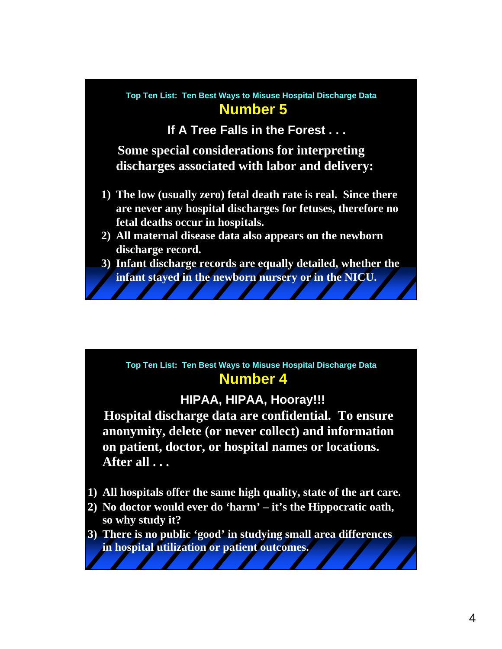#### **Number 5 Top Ten List: Ten Best Ways to Misuse Hospital Discharge Data**

**If A Tree Falls in the Forest . . .**

**Some special considerations for interpreting discharges associated with labor and delivery:**

- **1) The low (usually zero) fetal death rate is real. Since there are never any hospital discharges for fetuses, therefore no fetal deaths occur in hospitals.**
- **2) All maternal disease data also appears on the newborn discharge record.**
- **3) Infant discharge records are equally detailed, whether the infant stayed in the newborn nursery or in the NICU.**

#### **Number 4 Top Ten List: Ten Best Ways to Misuse Hospital Discharge Data**

### **HIPAA, HIPAA, Hooray!!!**

**Hospital discharge data are confidential. To ensure anonymity, delete (or never collect) and information on patient, doctor, or hospital names or locations. After all . . .**

- **1) All hospitals offer the same high quality, state of the art care.**
- **2) No doctor would ever do 'harm' it's the Hippocratic oath, so why study it?**
- **3) There is no public 'good' in studying small area differences in hospital utilization or patient outcomes.**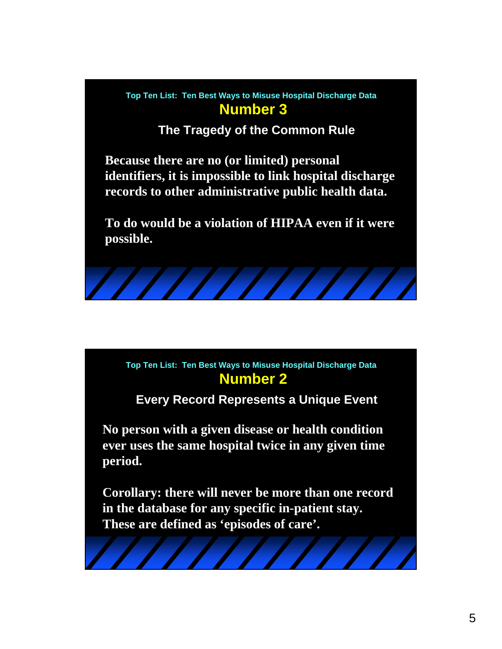

**The Tragedy of the Common Rule**

**Because there are no (or limited) personal identifiers, it is impossible to link hospital discharge records to other administrative public health data.**

**To do would be a violation of HIPAA even if it were possible.**



**Every Record Represents a Unique Event**

**No person with a given disease or health condition ever uses the same hospital twice in any given time period.**

**Corollary: there will never be more than one record in the database for any specific in-patient stay. These are defined as 'episodes of care'.**